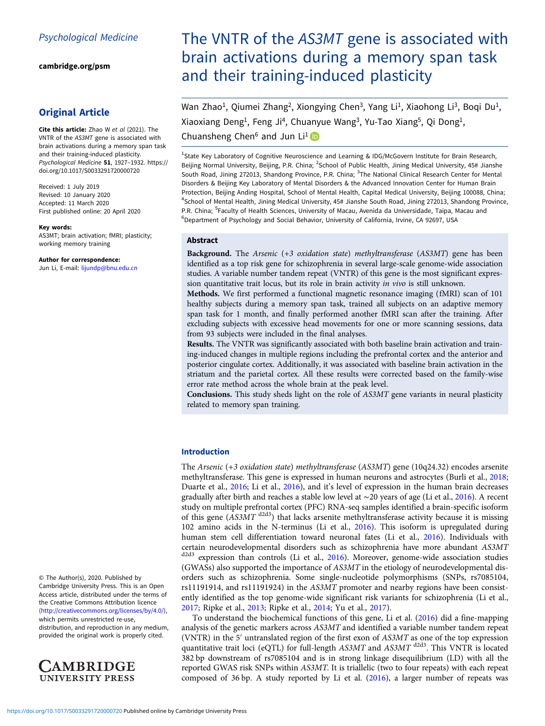[cambridge.org/psm](https://www.cambridge.org/psm)

## Original Article

Cite this article: Zhao W et al (2021). The VNTR of the AS3MT gene is associated with brain activations during a memory span task and their training-induced plasticity. Psychological Medicine 51, 1927–1932. [https://](https://doi.org/10.1017/S0033291720000720) [doi.org/10.1017/S0033291720000720](https://doi.org/10.1017/S0033291720000720)

Received: 1 July 2019 Revised: 10 January 2020 Accepted: 11 March 2020 First published online: 20 April 2020

#### Key words:

AS3MT; brain activation; fMRI; plasticity; working memory training

#### Author for correspondence:

Jun Li, E-mail: [lijundp@bnu.edu.cn](mailto:lijundp@bnu.edu.cn)

© The Author(s), 2020. Published by Cambridge University Press. This is an Open Access article, distributed under the terms of the Creative Commons Attribution licence ([http://creativecommons.org/licenses/by/4.0/\)](http://creativecommons.org/licenses/by/4.0/), which permits unrestricted re-use,

distribution, and reproduction in any medium, provided the original work is properly cited.



# The VNTR of the AS3MT gene is associated with brain activations during a memory span task and their training-induced plasticity

Wan Zhao<sup>1</sup>, Qiumei Zhang<sup>2</sup>, Xiongying Chen<sup>3</sup>, Yang Li<sup>1</sup>, Xiaohong Li<sup>3</sup>, Boqi Du<sup>1</sup>, Xiaoxiang Deng<sup>1</sup>, Feng Ji<sup>4</sup>, Chuanyue Wang<sup>3</sup>, Yu-Tao Xiang<sup>5</sup>, Qi Dong<sup>1</sup>,

Chuansheng Chen<sup>6</sup> and Jun Li<sup>1</sup>

<sup>1</sup>State Key Laboratory of Cognitive Neuroscience and Learning & IDG/McGovern Institute for Brain Research, Beijing Normal University, Beijing, P.R. China; <sup>2</sup>School of Public Health, Jining Medical University, 45# Jianshe South Road, Jining 272013, Shandong Province, P.R. China; <sup>3</sup>The National Clinical Research Center for Mental Disorders & Beijing Key Laboratory of Mental Disorders & the Advanced Innovation Center for Human Brain Protection, Beijing Anding Hospital, School of Mental Health, Capital Medical University, Beijing 100088, China; 4 School of Mental Health, Jining Medical University, 45# Jianshe South Road, Jining 272013, Shandong Province, P.R. China; <sup>5</sup>Faculty of Health Sciences, University of Macau, Avenida da Universidade, Taipa, Macau and <sup>6</sup>Department of Psychology and Social Behavior, University of California, Irvine, CA 92697, USA

## Abstract

Background. The Arsenic (+3 oxidation state) methyltransferase (AS3MT) gene has been identified as a top risk gene for schizophrenia in several large-scale genome-wide association studies. A variable number tandem repeat (VNTR) of this gene is the most significant expression quantitative trait locus, but its role in brain activity in vivo is still unknown.

Methods. We first performed a functional magnetic resonance imaging (fMRI) scan of 101 healthy subjects during a memory span task, trained all subjects on an adaptive memory span task for 1 month, and finally performed another fMRI scan after the training. After excluding subjects with excessive head movements for one or more scanning sessions, data from 93 subjects were included in the final analyses.

Results. The VNTR was significantly associated with both baseline brain activation and training-induced changes in multiple regions including the prefrontal cortex and the anterior and posterior cingulate cortex. Additionally, it was associated with baseline brain activation in the striatum and the parietal cortex. All these results were corrected based on the family-wise error rate method across the whole brain at the peak level.

Conclusions. This study sheds light on the role of AS3MT gene variants in neural plasticity related to memory span training.

### Introduction

The Arsenic (+3 oxidation state) methyltransferase (AS3MT) gene (10q24.32) encodes arsenite methyltransferase. This gene is expressed in human neurons and astrocytes (Burli et al., [2018](#page-5-0); Duarte et al., [2016;](#page-5-0) Li et al., [2016\)](#page-5-0), and it's level of expression in the human brain decreases gradually after birth and reaches a stable low level at ∼20 years of age (Li et al., [2016\)](#page-5-0). A recent study on multiple prefrontal cortex (PFC) RNA-seq samples identified a brain-specific isoform of this gene ( $\hat{AS3MT}$ <sup>d2d3</sup>) that lacks arsenite methyltransferase activity because it is missing 102 amino acids in the N-terminus (Li et al., [2016\)](#page-5-0). This isoform is upregulated during human stem cell differentiation toward neuronal fates (Li et al., [2016](#page-5-0)). Individuals with certain neurodevelopmental disorders such as schizophrenia have more abundant  $AS3MT$ <br> $\frac{d^{2d3}}{dx^{2d3}}$  expression than controls (Li et al. 2016). Moreover, genome-wide association studies expression than controls (Li et al., [2016](#page-5-0)). Moreover, genome-wide association studies (GWASs) also supported the importance of AS3MT in the etiology of neurodevelopmental disorders such as schizophrenia. Some single-nucleotide polymorphisms (SNPs, rs7085104, rs11191914, and rs11191924) in the AS3MT promoter and nearby regions have been consistently identified as the top genome-wide significant risk variants for schizophrenia (Li et al., [2017;](#page-5-0) Ripke et al., [2013;](#page-5-0) Ripke et al., [2014](#page-5-0); Yu et al., [2017\)](#page-5-0).

To understand the biochemical functions of this gene, Li et al. [\(2016](#page-5-0)) did a fine-mapping analysis of the genetic markers across AS3MT and identified a variable number tandem repeat (VNTR) in the 5′ untranslated region of the first exon of AS3MT as one of the top expression quantitative trait loci (eQTL) for full-length AS3MT and AS3MT <sup>d2d3</sup>. This VNTR is located 382 bp downstream of rs7085104 and is in strong linkage disequilibrium (LD) with all the reported GWAS risk SNPs within AS3MT. It is triallelic (two to four repeats) with each repeat composed of 36 bp. A study reported by Li et al. [\(2016\)](#page-5-0), a larger number of repeats was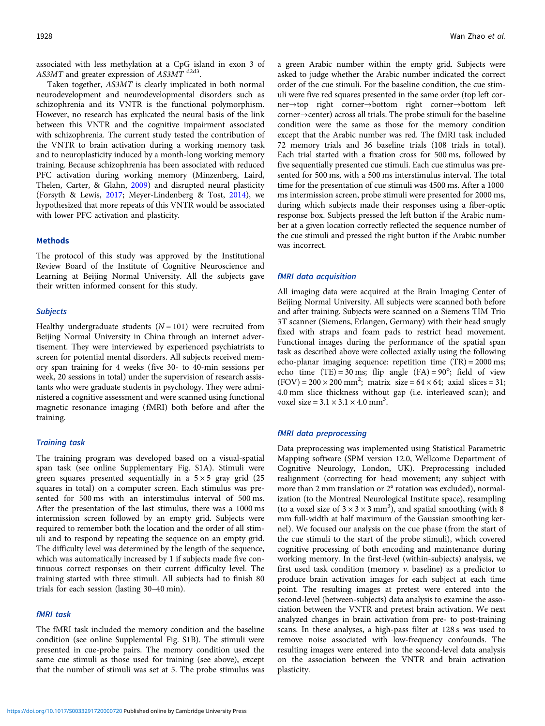associated with less methylation at a CpG island in exon 3 of AS3MT and greater expression of AS3MT d2d3.

Taken together, AS3MT is clearly implicated in both normal neurodevelopment and neurodevelopmental disorders such as schizophrenia and its VNTR is the functional polymorphism. However, no research has explicated the neural basis of the link between this VNTR and the cognitive impairment associated with schizophrenia. The current study tested the contribution of the VNTR to brain activation during a working memory task and to neuroplasticity induced by a month-long working memory training. Because schizophrenia has been associated with reduced PFC activation during working memory (Minzenberg, Laird, Thelen, Carter, & Glahn, [2009](#page-5-0)) and disrupted neural plasticity (Forsyth & Lewis, [2017;](#page-5-0) Meyer-Lindenberg & Tost, [2014\)](#page-5-0), we hypothesized that more repeats of this VNTR would be associated with lower PFC activation and plasticity.

#### Methods

The protocol of this study was approved by the Institutional Review Board of the Institute of Cognitive Neuroscience and Learning at Beijing Normal University. All the subjects gave their written informed consent for this study.

#### **Subjects**

Healthy undergraduate students  $(N = 101)$  were recruited from Beijing Normal University in China through an internet advertisement. They were interviewed by experienced psychiatrists to screen for potential mental disorders. All subjects received memory span training for 4 weeks (five 30- to 40-min sessions per week, 20 sessions in total) under the supervision of research assistants who were graduate students in psychology. They were administered a cognitive assessment and were scanned using functional magnetic resonance imaging (fMRI) both before and after the training.

#### Training task

The training program was developed based on a visual-spatial span task (see online Supplementary Fig. S1A). Stimuli were green squares presented sequentially in a  $5 \times 5$  gray grid (25 squares in total) on a computer screen. Each stimulus was presented for 500 ms with an interstimulus interval of 500 ms. After the presentation of the last stimulus, there was a 1000 ms intermission screen followed by an empty grid. Subjects were required to remember both the location and the order of all stimuli and to respond by repeating the sequence on an empty grid. The difficulty level was determined by the length of the sequence, which was automatically increased by 1 if subjects made five continuous correct responses on their current difficulty level. The training started with three stimuli. All subjects had to finish 80 trials for each session (lasting 30–40 min).

#### fMRI task

The fMRI task included the memory condition and the baseline condition (see online Supplemental Fig. S1B). The stimuli were presented in cue-probe pairs. The memory condition used the same cue stimuli as those used for training (see above), except that the number of stimuli was set at 5. The probe stimulus was

a green Arabic number within the empty grid. Subjects were asked to judge whether the Arabic number indicated the correct order of the cue stimuli. For the baseline condition, the cue stimuli were five red squares presented in the same order (top left corner→top right corner→bottom right corner→bottom left corner→center) across all trials. The probe stimuli for the baseline condition were the same as those for the memory condition except that the Arabic number was red. The fMRI task included 72 memory trials and 36 baseline trials (108 trials in total). Each trial started with a fixation cross for 500 ms, followed by five sequentially presented cue stimuli. Each cue stimulus was presented for 500 ms, with a 500 ms interstimulus interval. The total time for the presentation of cue stimuli was 4500 ms. After a 1000 ms intermission screen, probe stimuli were presented for 2000 ms, during which subjects made their responses using a fiber-optic response box. Subjects pressed the left button if the Arabic number at a given location correctly reflected the sequence number of the cue stimuli and pressed the right button if the Arabic number was incorrect.

#### fMRI data acquisition

All imaging data were acquired at the Brain Imaging Center of Beijing Normal University. All subjects were scanned both before and after training. Subjects were scanned on a Siemens TIM Trio 3T scanner (Siemens, Erlangen, Germany) with their head snugly fixed with straps and foam pads to restrict head movement. Functional images during the performance of the spatial span task as described above were collected axially using the following echo-planar imaging sequence: repetition time (TR) = 2000 ms; echo time  $(TE) = 30$  ms; flip angle  $(FA) = 90^\circ$ ; field of view  $(FOV) = 200 \times 200$  mm<sup>2</sup>; matrix size = 64 × 64; axial slices = 31; 4.0 mm slice thickness without gap (i.e. interleaved scan); and voxel size =  $3.1 \times 3.1 \times 4.0$  mm<sup>3</sup>.

#### fMRI data preprocessing

Data preprocessing was implemented using Statistical Parametric Mapping software (SPM version 12.0, Wellcome Department of Cognitive Neurology, London, UK). Preprocessing included realignment (correcting for head movement; any subject with more than 2 mm translation or 2° rotation was excluded), normalization (to the Montreal Neurological Institute space), resampling (to a voxel size of  $3 \times 3 \times 3$  mm<sup>3</sup>), and spatial smoothing (with 8) mm full-width at half maximum of the Gaussian smoothing kernel). We focused our analysis on the cue phase (from the start of the cue stimuli to the start of the probe stimuli), which covered cognitive processing of both encoding and maintenance during working memory. In the first-level (within-subjects) analysis, we first used task condition (memory  $v$ . baseline) as a predictor to produce brain activation images for each subject at each time point. The resulting images at pretest were entered into the second-level (between-subjects) data analysis to examine the association between the VNTR and pretest brain activation. We next analyzed changes in brain activation from pre- to post-training scans. In these analyses, a high-pass filter at 128 s was used to remove noise associated with low-frequency confounds. The resulting images were entered into the second-level data analysis on the association between the VNTR and brain activation plasticity.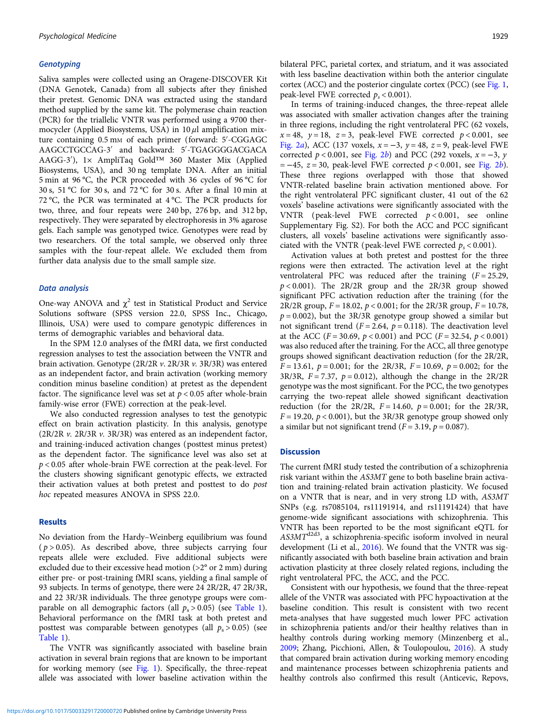#### **Genotyping**

Saliva samples were collected using an Oragene-DISCOVER Kit (DNA Genotek, Canada) from all subjects after they finished their pretest. Genomic DNA was extracted using the standard method supplied by the same kit. The polymerase chain reaction (PCR) for the triallelic VNTR was performed using a 9700 thermocycler (Applied Biosystems, USA) in  $10 \mu l$  amplification mixture containing 0.5 mM of each primer (forward: 5′ -CGGAGC AAGCCTGCCAG-3′ and backward: 5′ -TGAGGGGACGACA AAGG-3′ ), 1× AmpliTaq Gold™ 360 Master Mix (Applied Biosystems, USA), and 30 ng template DNA. After an initial 5 min at 96 °C, the PCR proceeded with 36 cycles of 96 °C for 30 s, 51 °C for 30 s, and 72 °C for 30 s. After a final 10 min at 72 °C, the PCR was terminated at 4 °C. The PCR products for two, three, and four repeats were 240 bp, 276 bp, and 312 bp, respectively. They were separated by electrophoresis in 3% agarose gels. Each sample was genotyped twice. Genotypes were read by two researchers. Of the total sample, we observed only three samples with the four-repeat allele. We excluded them from further data analysis due to the small sample size.

#### Data analysis

One-way ANOVA and  $\chi^2$  test in Statistical Product and Service Solutions software (SPSS version 22.0, SPSS Inc., Chicago, Illinois, USA) were used to compare genotypic differences in terms of demographic variables and behavioral data.

In the SPM 12.0 analyses of the fMRI data, we first conducted regression analyses to test the association between the VNTR and brain activation. Genotype (2R/2R v. 2R/3R v. 3R/3R) was entered as an independent factor, and brain activation (working memory condition minus baseline condition) at pretest as the dependent factor. The significance level was set at  $p < 0.05$  after whole-brain family-wise error (FWE) correction at the peak-level.

We also conducted regression analyses to test the genotypic effect on brain activation plasticity. In this analysis, genotype  $(2R/2R v. 2R/3R v. 3R/3R)$  was entered as an independent factor, and training-induced activation changes (posttest minus pretest) as the dependent factor. The significance level was also set at  $p < 0.05$  after whole-brain FWE correction at the peak-level. For the clusters showing significant genotypic effects, we extracted their activation values at both pretest and posttest to do post hoc repeated measures ANOVA in SPSS 22.0.

#### Results

No deviation from the Hardy–Weinberg equilibrium was found  $(p > 0.05)$ . As described above, three subjects carrying four repeats allele were excluded. Five additional subjects were excluded due to their excessive head motion (>2° or 2 mm) during either pre- or post-training fMRI scans, yielding a final sample of 93 subjects. In terms of genotype, there were 24 2R/2R, 47 2R/3R, and 22 3R/3R individuals. The three genotype groups were comparable on all demographic factors (all  $p_s > 0.05$ ) (see [Table 1\)](#page-3-0). Behavioral performance on the fMRI task at both pretest and posttest was comparable between genotypes (all  $p_s > 0.05$ ) (see [Table 1](#page-3-0)).

The VNTR was significantly associated with baseline brain activation in several brain regions that are known to be important for working memory (see [Fig. 1\)](#page-3-0). Specifically, the three-repeat allele was associated with lower baseline activation within the bilateral PFC, parietal cortex, and striatum, and it was associated with less baseline deactivation within both the anterior cingulate cortex (ACC) and the posterior cingulate cortex (PCC) (see [Fig. 1](#page-3-0), peak-level FWE corrected  $p_s < 0.001$ ).

In terms of training-induced changes, the three-repeat allele was associated with smaller activation changes after the training in three regions, including the right ventrolateral PFC (62 voxels,  $x = 48$ ,  $y = 18$ ,  $z = 3$ , peak-level FWE corrected  $p < 0.001$ , see [Fig. 2](#page-4-0)a), ACC (137 voxels,  $x = -3$ ,  $y = 48$ ,  $z = 9$ , peak-level FWE corrected  $p < 0.001$ , see [Fig. 2](#page-4-0)b) and PCC (292 voxels,  $x = -3$ , y  $= -45$ ,  $z = 30$ , peak-level FWE corrected  $p < 0.001$ , see [Fig. 2](#page-4-0)b). These three regions overlapped with those that showed VNTR-related baseline brain activation mentioned above. For the right ventrolateral PFC significant cluster, 41 out of the 62 voxels' baseline activations were significantly associated with the VNTR (peak-level FWE corrected  $p < 0.001$ , see online Supplementary Fig. S2). For both the ACC and PCC significant clusters, all voxels' baseline activations were significantly associated with the VNTR (peak-level FWE corrected  $p_s < 0.001$ ).

Activation values at both pretest and posttest for the three regions were then extracted. The activation level at the right ventrolateral PFC was reduced after the training  $(F = 25.29,$  $p < 0.001$ ). The 2R/2R group and the 2R/3R group showed significant PFC activation reduction after the training (for the 2R/2R group,  $F = 18.02$ ,  $p < 0.001$ ; for the 2R/3R group,  $F = 10.78$ ,  $p = 0.002$ ), but the 3R/3R genotype group showed a similar but not significant trend ( $F = 2.64$ ,  $p = 0.118$ ). The deactivation level at the ACC ( $F = 30.69$ ,  $p < 0.001$ ) and PCC ( $F = 32.54$ ,  $p < 0.001$ ) was also reduced after the training. For the ACC, all three genotype groups showed significant deactivation reduction (for the 2R/2R,  $F = 13.61$ ,  $p = 0.001$ ; for the 2R/3R,  $F = 10.69$ ,  $p = 0.002$ ; for the 3R/3R,  $F = 7.37$ ,  $p = 0.012$ ), although the change in the 2R/2R genotype was the most significant. For the PCC, the two genotypes carrying the two-repeat allele showed significant deactivation reduction (for the 2R/2R,  $F = 14.60$ ,  $p = 0.001$ ; for the 2R/3R,  $F = 19.20$ ,  $p < 0.001$ ), but the 3R/3R genotype group showed only a similar but not significant trend ( $F = 3.19$ ,  $p = 0.087$ ).

### **Discussion**

The current fMRI study tested the contribution of a schizophrenia risk variant within the AS3MT gene to both baseline brain activation and training-related brain activation plasticity. We focused on a VNTR that is near, and in very strong LD with, AS3MT SNPs (e.g. rs7085104, rs11191914, and rs11191424) that have genome-wide significant associations with schizophrenia. This VNTR has been reported to be the most significant eQTL for  $AS3MT<sup>d2d3</sup>$ , a schizophrenia-specific isoform involved in neural development (Li et al., [2016](#page-5-0)). We found that the VNTR was significantly associated with both baseline brain activation and brain activation plasticity at three closely related regions, including the right ventrolateral PFC, the ACC, and the PCC.

Consistent with our hypothesis, we found that the three-repeat allele of the VNTR was associated with PFC hypoactivation at the baseline condition. This result is consistent with two recent meta-analyses that have suggested much lower PFC activation in schizophrenia patients and/or their healthy relatives than in healthy controls during working memory (Minzenberg et al., [2009](#page-5-0); Zhang, Picchioni, Allen, & Toulopoulou, [2016\)](#page-5-0). A study that compared brain activation during working memory encoding and maintenance processes between schizophrenia patients and healthy controls also confirmed this result (Anticevic, Repovs,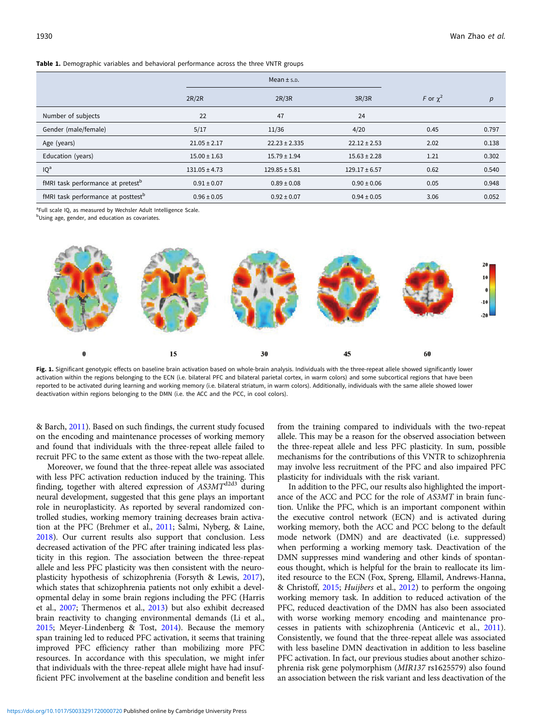<span id="page-3-0"></span>Table 1. Demographic variables and behavioral performance across the three VNTR groups

|                                                |                   | Mean $\pm$ s.p.   |                   |               |       |
|------------------------------------------------|-------------------|-------------------|-------------------|---------------|-------|
|                                                | 2R/2R             | 2R/3R             | 3R/3R             | F or $\chi^2$ | p     |
| Number of subjects                             | 22                | 47                | 24                |               |       |
| Gender (male/female)                           | 5/17              | 11/36             | 4/20              | 0.45          | 0.797 |
| Age (years)                                    | $21.05 \pm 2.17$  | $22.23 \pm 2.335$ | $22.12 \pm 2.53$  | 2.02          | 0.138 |
| Education (years)                              | $15.00 \pm 1.63$  | $15.79 \pm 1.94$  | $15.63 \pm 2.28$  | 1.21          | 0.302 |
| IQ <sup>a</sup>                                | $131.05 \pm 4.73$ | $129.85 \pm 5.81$ | $129.17 \pm 6.57$ | 0.62          | 0.540 |
| fMRI task performance at pretest <sup>b</sup>  | $0.91 \pm 0.07$   | $0.89 \pm 0.08$   | $0.90 \pm 0.06$   | 0.05          | 0.948 |
| fMRI task performance at posttest <sup>b</sup> | $0.96 \pm 0.05$   | $0.92 \pm 0.07$   | $0.94 \pm 0.05$   | 3.06          | 0.052 |

<sup>a</sup>Full scale IQ, as measured by Wechsler Adult Intelligence Scale.

<sup>b</sup>Using age, gender, and education as covariates.



Fig. 1. Significant genotypic effects on baseline brain activation based on whole-brain analysis. Individuals with the three-repeat allele showed significantly lower activation within the regions belonging to the ECN (i.e. bilateral PFC and bilateral parietal cortex, in warm colors) and some subcortical regions that have been reported to be activated during learning and working memory (i.e. bilateral striatum, in warm colors). Additionally, individuals with the same allele showed lower deactivation within regions belonging to the DMN (i.e. the ACC and the PCC, in cool colors).

& Barch, [2011\)](#page-4-0). Based on such findings, the current study focused on the encoding and maintenance processes of working memory and found that individuals with the three-repeat allele failed to recruit PFC to the same extent as those with the two-repeat allele.

Moreover, we found that the three-repeat allele was associated with less PFC activation reduction induced by the training. This finding, together with altered expression of  $AS3MT^{d2d3}$  during neural development, suggested that this gene plays an important role in neuroplasticity. As reported by several randomized controlled studies, working memory training decreases brain activation at the PFC (Brehmer et al., [2011;](#page-5-0) Salmi, Nyberg, & Laine, [2018\)](#page-5-0). Our current results also support that conclusion. Less decreased activation of the PFC after training indicated less plasticity in this region. The association between the three-repeat allele and less PFC plasticity was then consistent with the neuroplasticity hypothesis of schizophrenia (Forsyth & Lewis, [2017\)](#page-5-0), which states that schizophrenia patients not only exhibit a developmental delay in some brain regions including the PFC (Harris et al., [2007](#page-5-0); Thermenos et al., [2013](#page-5-0)) but also exhibit decreased brain reactivity to changing environmental demands (Li et al., [2015;](#page-5-0) Meyer-Lindenberg & Tost, [2014\)](#page-5-0). Because the memory span training led to reduced PFC activation, it seems that training improved PFC efficiency rather than mobilizing more PFC resources. In accordance with this speculation, we might infer that individuals with the three-repeat allele might have had insufficient PFC involvement at the baseline condition and benefit less

from the training compared to individuals with the two-repeat allele. This may be a reason for the observed association between the three-repeat allele and less PFC plasticity. In sum, possible mechanisms for the contributions of this VNTR to schizophrenia may involve less recruitment of the PFC and also impaired PFC plasticity for individuals with the risk variant.

In addition to the PFC, our results also highlighted the importance of the ACC and PCC for the role of AS3MT in brain function. Unlike the PFC, which is an important component within the executive control network (ECN) and is activated during working memory, both the ACC and PCC belong to the default mode network (DMN) and are deactivated (i.e. suppressed) when performing a working memory task. Deactivation of the DMN suppresses mind wandering and other kinds of spontaneous thought, which is helpful for the brain to reallocate its limited resource to the ECN (Fox, Spreng, Ellamil, Andrews-Hanna, & Christoff, [2015;](#page-5-0) Huijbers et al., [2012](#page-5-0)) to perform the ongoing working memory task. In addition to reduced activation of the PFC, reduced deactivation of the DMN has also been associated with worse working memory encoding and maintenance processes in patients with schizophrenia (Anticevic et al., [2011](#page-4-0)). Consistently, we found that the three-repeat allele was associated with less baseline DMN deactivation in addition to less baseline PFC activation. In fact, our previous studies about another schizophrenia risk gene polymorphism (MIR137 rs1625579) also found an association between the risk variant and less deactivation of the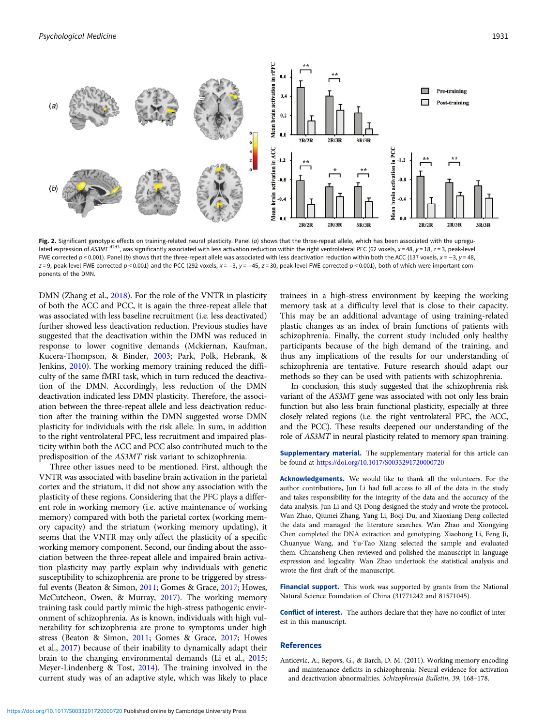<span id="page-4-0"></span>

Fig. 2. Significant genotypic effects on training-related neural plasticity. Panel (a) shows that the three-repeat allele, which has been associated with the upregulated expression of AS3MT d<sup>2d3</sup>, was significantly associated with less activation reduction within the right ventrolateral PFC (62 voxels, x = 48, y = 18, z = 3, peak-level FWE corrected  $p$  < 0.001). Panel (b) shows that the three-repeat allele was associated with less deactivation reduction within both the ACC (137 voxels, x = -3, y = 48, z = 9, peak-level FWE corrected  $p$  < 0.001) and the PCC (292 voxels, x = -3, y = -45, z = 30, peak-level FWE corrected  $p$  < 0.001), both of which were important components of the DMN.

DMN (Zhang et al., [2018](#page-5-0)). For the role of the VNTR in plasticity of both the ACC and PCC, it is again the three-repeat allele that was associated with less baseline recruitment (i.e. less deactivated) further showed less deactivation reduction. Previous studies have suggested that the deactivation within the DMN was reduced in response to lower cognitive demands (Mckiernan, Kaufman, Kucera-Thompson, & Binder, [2003](#page-5-0); Park, Polk, Hebrank, & Jenkins, [2010](#page-5-0)). The working memory training reduced the difficulty of the same fMRI task, which in turn reduced the deactivation of the DMN. Accordingly, less reduction of the DMN deactivation indicated less DMN plasticity. Therefore, the association between the three-repeat allele and less deactivation reduction after the training within the DMN suggested worse DMN plasticity for individuals with the risk allele. In sum, in addition to the right ventrolateral PFC, less recruitment and impaired plasticity within both the ACC and PCC also contributed much to the predisposition of the AS3MT risk variant to schizophrenia.

Three other issues need to be mentioned. First, although the VNTR was associated with baseline brain activation in the parietal cortex and the striatum, it did not show any association with the plasticity of these regions. Considering that the PFC plays a different role in working memory (i.e. active maintenance of working memory) compared with both the parietal cortex (working memory capacity) and the striatum (working memory updating), it seems that the VNTR may only affect the plasticity of a specific working memory component. Second, our finding about the association between the three-repeat allele and impaired brain activation plasticity may partly explain why individuals with genetic susceptibility to schizophrenia are prone to be triggered by stressful events (Beaton & Simon, [2011;](#page-5-0) Gomes & Grace, [2017;](#page-5-0) Howes, McCutcheon, Owen, & Murray, [2017\)](#page-5-0). The working memory training task could partly mimic the high-stress pathogenic environment of schizophrenia. As is known, individuals with high vulnerability for schizophrenia are prone to symptoms under high stress (Beaton & Simon, [2011;](#page-5-0) Gomes & Grace, [2017;](#page-5-0) Howes et al., [2017\)](#page-5-0) because of their inability to dynamically adapt their brain to the changing environmental demands (Li et al., [2015;](#page-5-0) Meyer-Lindenberg & Tost, [2014](#page-5-0)). The training involved in the current study was of an adaptive style, which was likely to place

trainees in a high-stress environment by keeping the working memory task at a difficulty level that is close to their capacity. This may be an additional advantage of using training-related plastic changes as an index of brain functions of patients with schizophrenia. Finally, the current study included only healthy participants because of the high demand of the training, and thus any implications of the results for our understanding of schizophrenia are tentative. Future research should adapt our methods so they can be used with patients with schizophrenia.

In conclusion, this study suggested that the schizophrenia risk variant of the AS3MT gene was associated with not only less brain function but also less brain functional plasticity, especially at three closely related regions (i.e. the right ventrolateral PFC, the ACC, and the PCC). These results deepened our understanding of the role of AS3MT in neural plasticity related to memory span training.

Supplementary material. The supplementary material for this article can be found at <https://doi.org/10.1017/S0033291720000720>

Acknowledgements. We would like to thank all the volunteers. For the author contributions, Jun Li had full access to all of the data in the study and takes responsibility for the integrity of the data and the accuracy of the data analysis. Jun Li and Qi Dong designed the study and wrote the protocol. Wan Zhao, Qiumei Zhang, Yang Li, Boqi Du, and Xiaoxiang Deng collected the data and managed the literature searches. Wan Zhao and Xiongying Chen completed the DNA extraction and genotyping. Xiaohong Li, Feng Ji, Chuanyue Wang, and Yu-Tao Xiang selected the sample and evaluated them. Chuansheng Chen reviewed and polished the manuscript in language expression and logicality. Wan Zhao undertook the statistical analysis and wrote the first draft of the manuscript.

Financial support. This work was supported by grants from the National Natural Science Foundation of China (31771242 and 81571045).

Conflict of interest. The authors declare that they have no conflict of interest in this manuscript.

#### References

Anticevic, A., Repovs, G., & Barch, D. M. (2011). Working memory encoding and maintenance deficits in schizophrenia: Neural evidence for activation and deactivation abnormalities. Schizophrenia Bulletin, 39, 168–178.